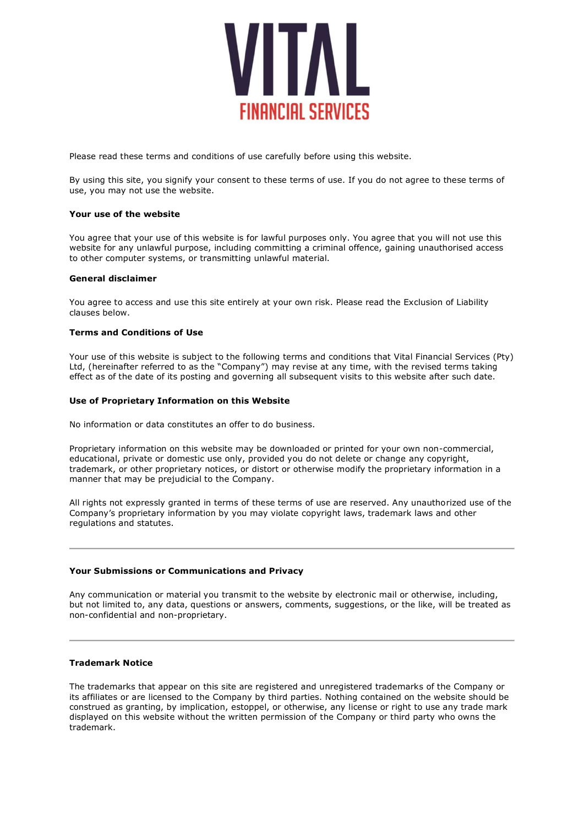

Please read these terms and conditions of use carefully before using this website.

By using this site, you signify your consent to these terms of use. If you do not agree to these terms of use, you may not use the website.

#### **Your use of the website**

You agree that your use of this website is for lawful purposes only. You agree that you will not use this website for any unlawful purpose, including committing a criminal offence, gaining unauthorised access to other computer systems, or transmitting unlawful material.

#### **General disclaimer**

You agree to access and use this site entirely at your own risk. Please read the Exclusion of Liability clauses below.

#### **Terms and Conditions of Use**

Your use of this website is subject to the following terms and conditions that Vital Financial Services (Pty) Ltd, (hereinafter referred to as the "Company") may revise at any time, with the revised terms taking effect as of the date of its posting and governing all subsequent visits to this website after such date.

#### **Use of Proprietary Information on this Website**

No information or data constitutes an offer to do business.

Proprietary information on this website may be downloaded or printed for your own non-commercial, educational, private or domestic use only, provided you do not delete or change any copyright, trademark, or other proprietary notices, or distort or otherwise modify the proprietary information in a manner that may be prejudicial to the Company.

All rights not expressly granted in terms of these terms of use are reserved. Any unauthorized use of the Company's proprietary information by you may violate copyright laws, trademark laws and other regulations and statutes.

#### **Your Submissions or Communications and Privacy**

Any communication or material you transmit to the website by electronic mail or otherwise, including, but not limited to, any data, questions or answers, comments, suggestions, or the like, will be treated as non-confidential and non-proprietary.

## **Trademark Notice**

The trademarks that appear on this site are registered and unregistered trademarks of the Company or its affiliates or are licensed to the Company by third parties. Nothing contained on the website should be construed as granting, by implication, estoppel, or otherwise, any license or right to use any trade mark displayed on this website without the written permission of the Company or third party who owns the trademark.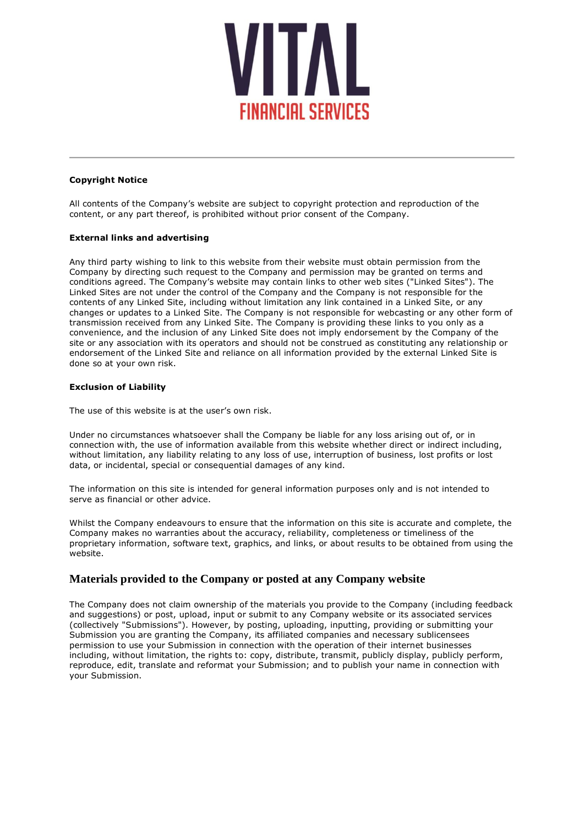

## **Copyright Notice**

All contents of the Company's website are subject to copyright protection and reproduction of the content, or any part thereof, is prohibited without prior consent of the Company.

# **External links and advertising**

Any third party wishing to link to this website from their website must obtain permission from the Company by directing such request to the Company and permission may be granted on terms and conditions agreed. The Company's website may contain links to other web sites ("Linked Sites"). The Linked Sites are not under the control of the Company and the Company is not responsible for the contents of any Linked Site, including without limitation any link contained in a Linked Site, or any changes or updates to a Linked Site. The Company is not responsible for webcasting or any other form of transmission received from any Linked Site. The Company is providing these links to you only as a convenience, and the inclusion of any Linked Site does not imply endorsement by the Company of the site or any association with its operators and should not be construed as constituting any relationship or endorsement of the Linked Site and reliance on all information provided by the external Linked Site is done so at your own risk.

# **Exclusion of Liability**

The use of this website is at the user's own risk.

Under no circumstances whatsoever shall the Company be liable for any loss arising out of, or in connection with, the use of information available from this website whether direct or indirect including, without limitation, any liability relating to any loss of use, interruption of business, lost profits or lost data, or incidental, special or consequential damages of any kind.

The information on this site is intended for general information purposes only and is not intended to serve as financial or other advice.

Whilst the Company endeavours to ensure that the information on this site is accurate and complete, the Company makes no warranties about the accuracy, reliability, completeness or timeliness of the proprietary information, software text, graphics, and links, or about results to be obtained from using the website.

# **Materials provided to the Company or posted at any Company website**

The Company does not claim ownership of the materials you provide to the Company (including feedback and suggestions) or post, upload, input or submit to any Company website or its associated services (collectively "Submissions"). However, by posting, uploading, inputting, providing or submitting your Submission you are granting the Company, its affiliated companies and necessary sublicensees permission to use your Submission in connection with the operation of their internet businesses including, without limitation, the rights to: copy, distribute, transmit, publicly display, publicly perform, reproduce, edit, translate and reformat your Submission; and to publish your name in connection with your Submission.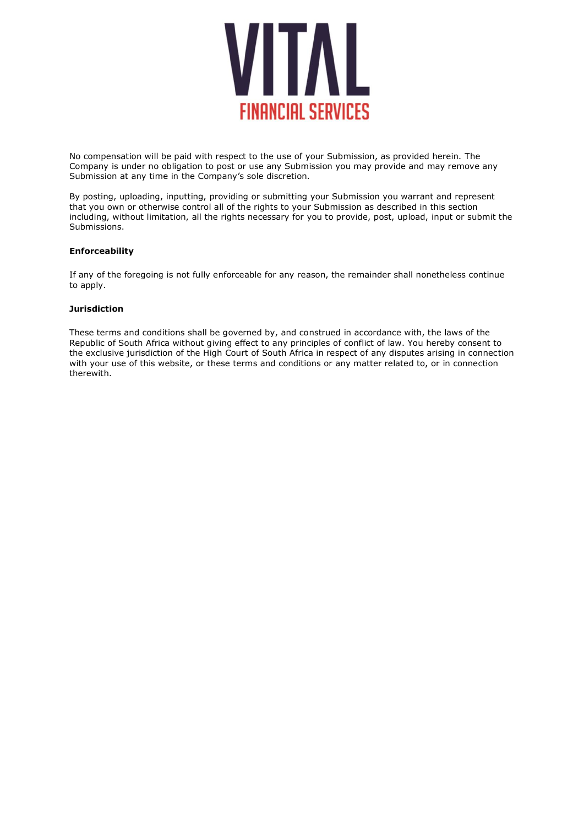

No compensation will be paid with respect to the use of your Submission, as provided herein. The Company is under no obligation to post or use any Submission you may provide and may remove any Submission at any time in the Company's sole discretion.

By posting, uploading, inputting, providing or submitting your Submission you warrant and represent that you own or otherwise control all of the rights to your Submission as described in this section including, without limitation, all the rights necessary for you to provide, post, upload, input or submit the Submissions.

# **Enforceability**

If any of the foregoing is not fully enforceable for any reason, the remainder shall nonetheless continue to apply.

## **Jurisdiction**

These terms and conditions shall be governed by, and construed in accordance with, the laws of the Republic of South Africa without giving effect to any principles of conflict of law. You hereby consent to the exclusive jurisdiction of the High Court of South Africa in respect of any disputes arising in connection with your use of this website, or these terms and conditions or any matter related to, or in connection therewith.